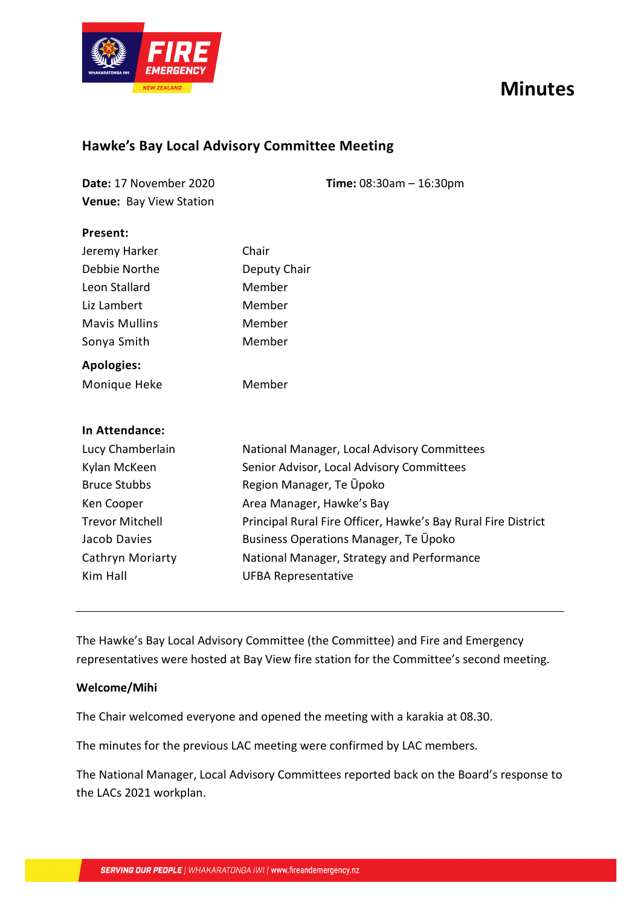# **Minutes**



## **Hawke's Bay Local Advisory Committee Meeting**

| Date: 17 November 2020<br>Venue: Bay View Station | <b>Time:</b> $08:30am - 16:30pm$                              |  |  |
|---------------------------------------------------|---------------------------------------------------------------|--|--|
| Present:                                          |                                                               |  |  |
| Jeremy Harker                                     | Chair                                                         |  |  |
| Debbie Northe                                     | Deputy Chair                                                  |  |  |
| Leon Stallard                                     | Member                                                        |  |  |
| Liz Lambert                                       | Member                                                        |  |  |
| <b>Mavis Mullins</b>                              | Member                                                        |  |  |
| Sonya Smith                                       | Member                                                        |  |  |
| <b>Apologies:</b>                                 |                                                               |  |  |
| Monique Heke                                      | Member                                                        |  |  |
| In Attendance:                                    |                                                               |  |  |
| Lucy Chamberlain                                  | National Manager, Local Advisory Committees                   |  |  |
| Kylan McKeen                                      | Senior Advisor, Local Advisory Committees                     |  |  |
| <b>Bruce Stubbs</b>                               | Region Manager, Te Upoko                                      |  |  |
| Ken Cooper                                        | Area Manager, Hawke's Bay                                     |  |  |
| <b>Trevor Mitchell</b>                            | Principal Rural Fire Officer, Hawke's Bay Rural Fire District |  |  |
| Jacob Davies                                      | Business Operations Manager, Te Upoko                         |  |  |
| Cathryn Moriarty                                  | National Manager, Strategy and Performance                    |  |  |
| Kim Hall                                          | <b>UFBA Representative</b>                                    |  |  |

The Hawke's Bay Local Advisory Committee (the Committee) and Fire and Emergency representatives were hosted at Bay View fire station for the Committee's second meeting.

## **Welcome/Mihi**

The Chair welcomed everyone and opened the meeting with a karakia at 08.30.

The minutes for the previous LAC meeting were confirmed by LAC members.

The National Manager, Local Advisory Committees reported back on the Board's response to the LACs 2021 workplan.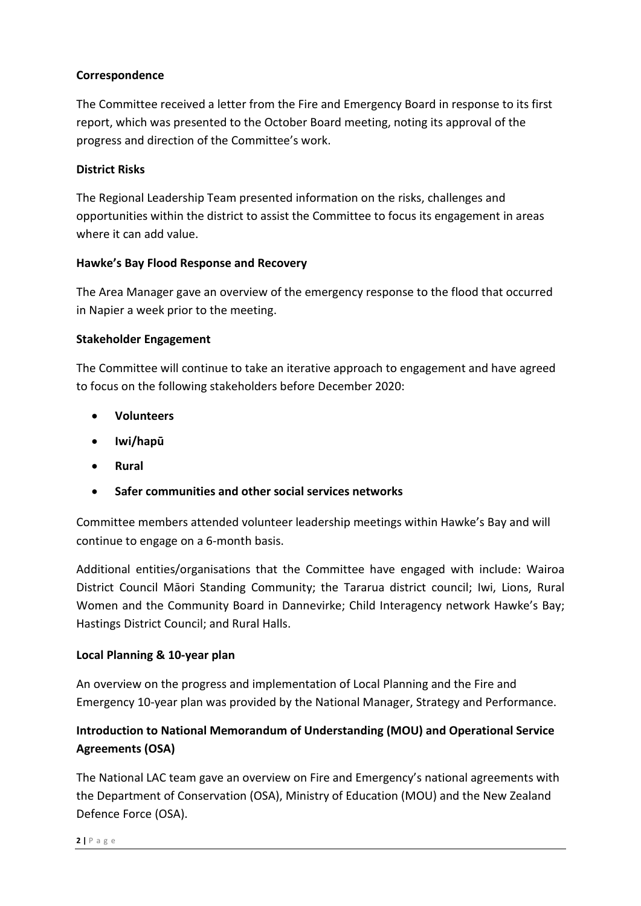## **Correspondence**

The Committee received a letter from the Fire and Emergency Board in response to its first report, which was presented to the October Board meeting, noting its approval of the progress and direction of the Committee's work.

## **District Risks**

The Regional Leadership Team presented information on the risks, challenges and opportunities within the district to assist the Committee to focus its engagement in areas where it can add value.

#### **Hawke's Bay Flood Response and Recovery**

The Area Manager gave an overview of the emergency response to the flood that occurred in Napier a week prior to the meeting.

#### **Stakeholder Engagement**

The Committee will continue to take an iterative approach to engagement and have agreed to focus on the following stakeholders before December 2020:

- **Volunteers**
- **Iwi/hapū**
- **Rural**
- **Safer communities and other social services networks**

Committee members attended volunteer leadership meetings within Hawke's Bay and will continue to engage on a 6-month basis.

Additional entities/organisations that the Committee have engaged with include: Wairoa District Council Māori Standing Community; the Tararua district council; Iwi, Lions, Rural Women and the Community Board in Dannevirke; Child Interagency network Hawke's Bay; Hastings District Council; and Rural Halls.

## **Local Planning & 10-year plan**

An overview on the progress and implementation of Local Planning and the Fire and Emergency 10-year plan was provided by the National Manager, Strategy and Performance.

## **Introduction to National Memorandum of Understanding (MOU) and Operational Service Agreements (OSA)**

The National LAC team gave an overview on Fire and Emergency's national agreements with the Department of Conservation (OSA), Ministry of Education (MOU) and the New Zealand Defence Force (OSA).